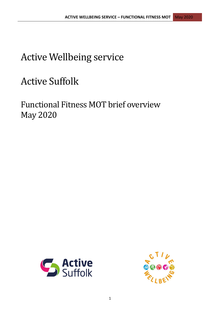## Active Wellbeing service

# Active Suffolk

Functional Fitness MOT brief overview May 2020



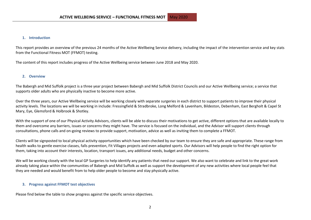#### **1. Introduction**

This report provides an overview of the previous 24 months of the Active Wellbeing Service delivery, including the impact of the intervention service and key stats from the Functional Fitness MOT (FFMOT) testing.

The content of this report includes progress of the Active Wellbeing service between June 2018 and May 2020.

#### **2. Overview**

The Babergh and Mid Suffolk project is a three year project between Babergh and Mid Suffolk District Councils and our Active Wellbeing service; a service that supports older adults who are physically inactive to become more active.

Over the three years, our Active Wellbeing service will be working closely with separate surgeries in each district to support patients to improve their physical activity levels. The locations we will be working in include: Fressingfield & Stradbroke, Long Melford & Lavenham, Bildeston, Debenham, East Bergholt & Capel St Mary, Eye, Glemsford & Holbrook & Shotley.

With the support of one of our Physical Activity Advisors, clients will be able to discuss their motivations to get active, different options that are available locally to them and overcome any barriers, issues or concerns they might have. The service is focused on the individual, and the Advisor will support clients through consultations, phone calls and on-going reviews to provide support, motivation, advice as well as inviting them to complete a FFMOT.

Clients will be signposted to local physical activity opportunities which have been checked by our team to ensure they are safe and appropriate. These range from health walks to gentle exercise classes, falls prevention, Fit Villages projects and even adapted sports. Our Advisors will help people to find the right option for them, taking into account their interests, location, transport issues, any additional needs, budget and other concerns.

We will be working closely with the local GP Surgeries to help identify any patients that need our support. We also want to celebrate and link to the great work already taking place within the communities of Babergh and Mid Suffolk as well as support the development of any new activities where local people feel that they are needed and would benefit from to help older people to become and stay physically active.

#### **3. Progress against FFMOT test objectives**

Please find below the table to show progress against the specific service objectives.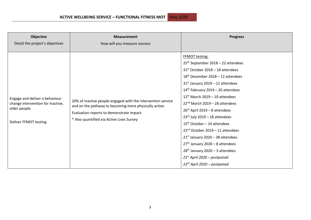| <b>Objective</b><br>Detail the project's objectives                                                           | <b>Measurement</b><br>How will you measure success                                                                                                                                                               | <b>Progress</b>                                                                                                                                                                                                                                                                                                                                                                                                                                                                                                                                                                                                                                                |
|---------------------------------------------------------------------------------------------------------------|------------------------------------------------------------------------------------------------------------------------------------------------------------------------------------------------------------------|----------------------------------------------------------------------------------------------------------------------------------------------------------------------------------------------------------------------------------------------------------------------------------------------------------------------------------------------------------------------------------------------------------------------------------------------------------------------------------------------------------------------------------------------------------------------------------------------------------------------------------------------------------------|
| Engage and deliver a behaviour<br>change intervention for inactive,<br>older people<br>Deliver FFMOT testing. | 20% of inactive people engaged with the intervention service<br>and on the pathway to becoming more physically active.<br>Evaluation reports to demonstrate impact.<br>* Also quantified via Active Lives Survey | <b>FFMOT testing:</b><br>25 <sup>th</sup> September 2018 - 22 attendees<br>$31st$ October 2018 - 18 attendees<br>$18th$ December 2018 – 12 attendees<br>$31st$ January 2019 – 12 attendees<br>$14th$ February 2019 – 20 attendees<br>$12^{th}$ March 2019 - 10 attendees<br>$22nd$ March 2019 - 28 attendees<br>$26th$ April 2019 – 8 attendees<br>$23^{rd}$ July 2019 - 18 attendees<br>$15th$ October - 14 attendees<br>22 <sup>nd</sup> October 2019 - 11 attendees<br>$21st$ January 2020 - 38 attendees<br>$27th$ January 2020 – 8 attendees<br>$28th$ January 2020 - 3 attendees<br>$21^{st}$ April 2020 – postponed<br>$23^{rd}$ April 2020 – postponed |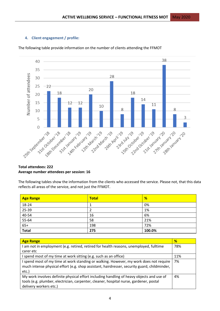## **4. Client engagement / profile:**



The following table provide information on the number of clients attending the FFMOT

## **Total attendees: 222 Average number attendees per session: 16**

The following tables show the information from the clients who accessed the service. Please not, that this data reflects all areas of the service, and not just the FFMOT.

| <b>Age Range</b> | <b>Total</b> | %      |
|------------------|--------------|--------|
| 18-24            |              | 0%     |
| 25-39            |              | 1%     |
| 40-54            | 16           | 6%     |
| $55 - 64$        | 58           | 21%    |
| $65+$            | 198          | 72%    |
| <b>Total</b>     | 275          | 100.0% |

| <b>Age Range</b>                                                                             | %   |
|----------------------------------------------------------------------------------------------|-----|
| I am not in employment (e.g. retired, retired for health reasons, unemployed, fulltime       |     |
| carer etc                                                                                    |     |
| I spend most of my time at work sitting (e.g. such as an office)                             | 11% |
| I spend most of my time at work standing or walking. However, my work does not require       | 7%  |
| much intense physical effort (e.g. shop assistant, hairdresser, security guard, childminder, |     |
| $etc.$ )                                                                                     |     |
| My work involves definite physical effort including handling of heavy objects and use of     | 4%  |
| tools (e.g. plumber, electrician, carpenter, cleaner, hospital nurse, gardener, postal       |     |
| delivery workers etc.)                                                                       |     |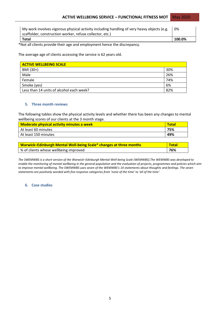| My work involves vigorous physical activity including handling of very heavy objects (e.g. |        |
|--------------------------------------------------------------------------------------------|--------|
| scaffolder, construction worker, refuse collector, etc.)                                   |        |
| <b>Total</b>                                                                               | 100.0% |

\*Not all clients provide their age and employment hence the discrepancy.

The average age of clients accessing the service is 62 years old.

| <b>ACTIVE WELLBEING SCALE</b>            |     |  |
|------------------------------------------|-----|--|
| BMI (30+)                                | 30% |  |
| Male                                     | 26% |  |
| Female                                   | 74% |  |
| Smoke (yes)                              | 6%  |  |
| Less than 14 units of alcohol each week? | 82% |  |

### **5. Three month reviews**

The following tables show the physical activity levels and whether there has been any changes to mental wellbeing scores of our clients at the 3 month stage.

| <b>Moderate physical activity minutes a week</b> | <b>Total</b> |
|--------------------------------------------------|--------------|
| At least 60 minutes                              | 75%          |
| At least 150 minutes                             | 49%          |

| Warwick-Edinburgh Mental Well-being Scale* changes at three months | <b>Total</b> |
|--------------------------------------------------------------------|--------------|
| % of clients whose wellbeing improved                              | 76%          |

*The SWEMWBS is a short version of the Warwick–Edinburgh Mental Well-being Scale (WEMWBS).The WEMWBS was developed to enable the monitoring of mental wellbeing in the general population and the evaluation of projects, programmes and policies which aim to improve mental wellbeing. The SWEMWBS uses seven of the WEMWBS's 14 statements about thoughts and feelings. The seven statements are positively worded with five response categories from 'none of the time' to 'all of the time'.*

#### **6. Case studies**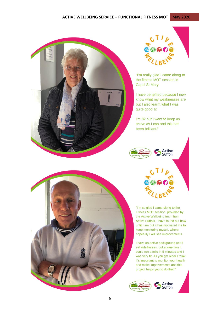



"I'm really glad I came along to the fitness MOT session in Capel St Mary.

I have benefited because I now know what my weaknesses are but I also learnt what I was quite good at.

I'm 82 but I want to keep as active as I can and this has been brilliant."



"I'm so glad I came along to the Fitness MOT session, provided by the Active Wellbeing team from Active Suffolk. I have found out how unfit I am but it has motivated me to keep monitoring myself, where hopefully I will see improvements.

I have an active background and I still ride horses, but at one time I could run a mile in 5 minutes and I was very fit. As you get older I think it's important to monitor your health and make improvements and this project helps you to do that!"